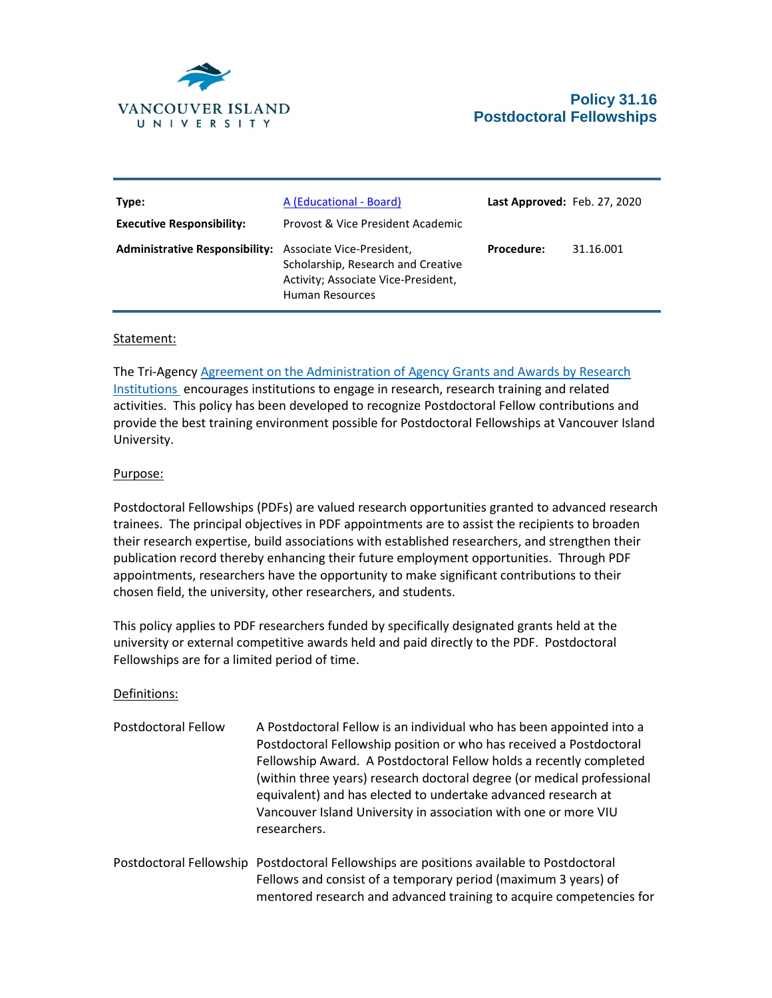

| Type:<br><b>Executive Responsibility:</b>                       | A (Educational - Board)<br>Provost & Vice President Academic                                 | Last Approved: Feb. 27, 2020 |           |
|-----------------------------------------------------------------|----------------------------------------------------------------------------------------------|------------------------------|-----------|
| <b>Administrative Responsibility:</b> Associate Vice-President, | Scholarship, Research and Creative<br>Activity; Associate Vice-President,<br>Human Resources | <b>Procedure:</b>            | 31.16.001 |

## Statement:

The Tri-Agency [Agreement on the Administration of Agency Grants and Awards by Research](http://science.gc.ca/eic/site/063.nsf/eng/h_56B87BE5.html?OpenDocument)  [Institutions](http://science.gc.ca/eic/site/063.nsf/eng/h_56B87BE5.html?OpenDocument) encourages institutions to engage in research, research training and related activities. This policy has been developed to recognize Postdoctoral Fellow contributions and provide the best training environment possible for Postdoctoral Fellowships at Vancouver Island University.

## Purpose:

Postdoctoral Fellowships (PDFs) are valued research opportunities granted to advanced research trainees. The principal objectives in PDF appointments are to assist the recipients to broaden their research expertise, build associations with established researchers, and strengthen their publication record thereby enhancing their future employment opportunities. Through PDF appointments, researchers have the opportunity to make significant contributions to their chosen field, the university, other researchers, and students.

This policy applies to PDF researchers funded by specifically designated grants held at the university or external competitive awards held and paid directly to the PDF. Postdoctoral Fellowships are for a limited period of time.

## Definitions:

- Postdoctoral Fellow A Postdoctoral Fellow is an individual who has been appointed into a Postdoctoral Fellowship position or who has received a Postdoctoral Fellowship Award. A Postdoctoral Fellow holds a recently completed (within three years) research doctoral degree (or medical professional equivalent) and has elected to undertake advanced research at Vancouver Island University in association with one or more VIU researchers.
- Postdoctoral Fellowship Postdoctoral Fellowships are positions available to Postdoctoral Fellows and consist of a temporary period (maximum 3 years) of mentored research and advanced training to acquire competencies for